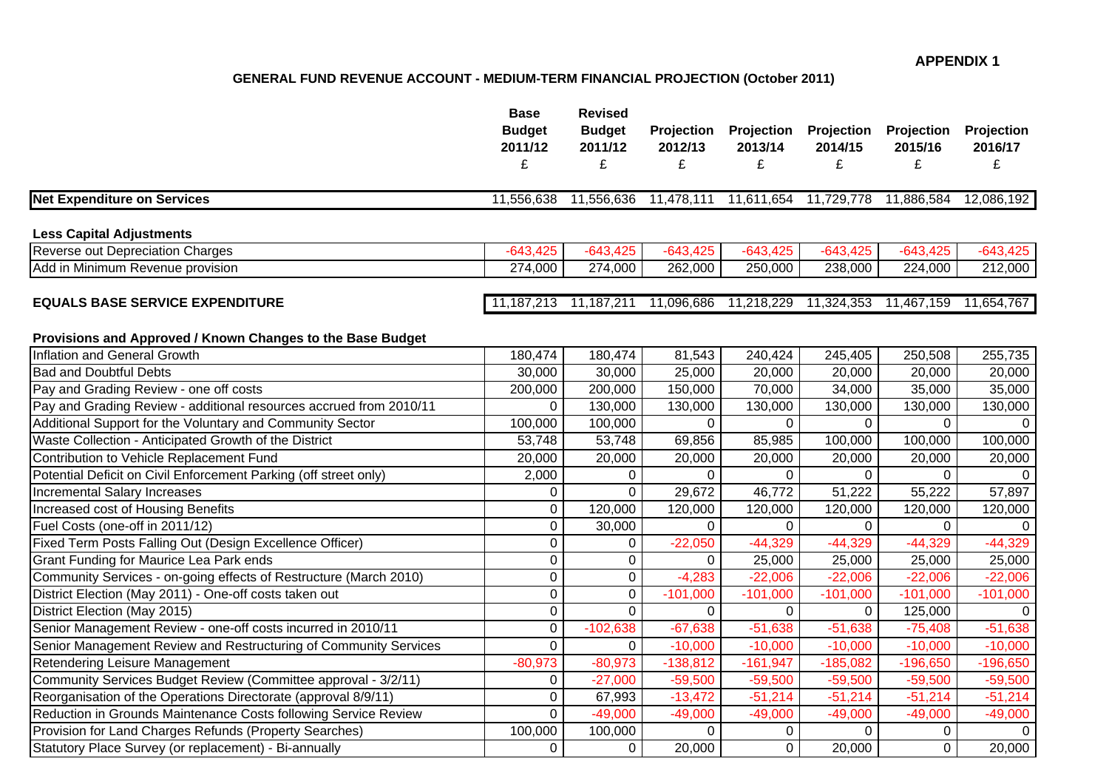# **GENERAL FUND REVENUE ACCOUNT - MEDIUM-TERM FINANCIAL PROJECTION (October 2011)**

|                                                                                                              | <b>Base</b><br><b>Budget</b><br>2011/12<br>£ | <b>Revised</b><br><b>Budget</b><br>2011/12<br>£ | Projection<br>2012/13<br>£                     | <b>Projection</b><br>2013/14<br>£ | Projection<br>2014/15<br>£ | Projection<br>2015/16<br>£ | Projection<br>2016/17<br>£ |
|--------------------------------------------------------------------------------------------------------------|----------------------------------------------|-------------------------------------------------|------------------------------------------------|-----------------------------------|----------------------------|----------------------------|----------------------------|
| <b>Net Expenditure on Services</b>                                                                           | 11,556,638                                   | 11,556,636                                      | 11,478,111                                     | 11,611,654                        | 11,729,778                 | 11,886,584                 | 12,086,192                 |
| <b>Less Capital Adjustments</b>                                                                              |                                              |                                                 |                                                |                                   |                            |                            |                            |
| Reverse out Depreciation Charges                                                                             | $-643,425$                                   | $-643,425$                                      | $-643,425$                                     | $-643,425$                        | $-643,425$                 | $-643,425$                 | $-643,425$                 |
| Add in Minimum Revenue provision                                                                             | 274,000                                      | 274,000                                         | 262,000                                        | 250,000                           | 238,000                    | 224,000                    | 212,000                    |
| <b>EQUALS BASE SERVICE EXPENDITURE</b>                                                                       |                                              | 11, 187, 213 11, 187, 211                       | 11,096,686  11,218,229  11,324,353  11,467,159 |                                   |                            |                            | 11,654,767                 |
| Provisions and Approved / Known Changes to the Base Budget                                                   |                                              |                                                 |                                                |                                   |                            |                            |                            |
| Inflation and General Growth<br><b>Bad and Doubtful Debts</b>                                                | 180,474<br>30,000                            | 180,474<br>30,000                               | 81,543                                         | 240,424                           | 245,405<br>20,000          | 250,508                    | 255,735<br>20,000          |
|                                                                                                              |                                              |                                                 | 25,000                                         | 20,000                            | 34,000                     | 20,000<br>35,000           |                            |
| Pay and Grading Review - one off costs<br>Pay and Grading Review - additional resources accrued from 2010/11 | 200,000<br>0                                 | 200,000<br>130,000                              | 150,000<br>130,000                             | 70,000<br>130,000                 | 130,000                    | 130,000                    | 35,000<br>130,000          |
| Additional Support for the Voluntary and Community Sector                                                    | 100,000                                      | 100,000                                         | $\Omega$                                       | $\mathbf 0$                       | $\Omega$                   | $\Omega$                   | $\Omega$                   |
| Waste Collection - Anticipated Growth of the District                                                        | 53,748                                       | 53,748                                          | 69,856                                         | 85,985                            | 100,000                    | 100,000                    | 100,000                    |
| Contribution to Vehicle Replacement Fund                                                                     | 20,000                                       | 20,000                                          | 20,000                                         | 20,000                            | 20,000                     | 20,000                     | 20,000                     |
| Potential Deficit on Civil Enforcement Parking (off street only)                                             | 2,000                                        | 0                                               | $\Omega$                                       | 0                                 | $\Omega$                   | $\Omega$                   | $\Omega$                   |
| Incremental Salary Increases                                                                                 | $\mathbf 0$                                  | $\Omega$                                        | 29,672                                         | 46,772                            | 51,222                     | 55,222                     | 57,897                     |
| Increased cost of Housing Benefits                                                                           | $\mathbf 0$                                  | 120,000                                         | 120,000                                        | 120,000                           | 120,000                    | 120,000                    | 120,000                    |
| Fuel Costs (one-off in 2011/12)                                                                              | $\mathbf 0$                                  | 30,000                                          | 0                                              | $\mathbf 0$                       | 0                          | $\Omega$                   | $\Omega$                   |
| Fixed Term Posts Falling Out (Design Excellence Officer)                                                     | $\mathbf 0$                                  | $\mathbf 0$                                     | $-22,050$                                      | $-44,329$                         | $-44,329$                  | $-44,329$                  | $-44,329$                  |
| Grant Funding for Maurice Lea Park ends                                                                      | $\mathbf 0$                                  | $\mathbf 0$                                     | $\mathbf 0$                                    | 25,000                            | 25,000                     | 25,000                     | 25,000                     |
| Community Services - on-going effects of Restructure (March 2010)                                            | $\mathbf 0$                                  | $\pmb{0}$                                       | $-4,283$                                       | $-22,006$                         | $-22,006$                  | $-22,006$                  | $-22,006$                  |
| District Election (May 2011) - One-off costs taken out                                                       | $\mathbf 0$                                  | $\mathbf 0$                                     | $-101,000$                                     | $-101,000$                        | $-101,000$                 | $-101,000$                 | $-101,000$                 |
| District Election (May 2015)                                                                                 | $\mathbf 0$                                  | $\mathbf 0$                                     | 0                                              | $\mathbf 0$                       | 0                          | 125,000                    | $\Omega$                   |
| Senior Management Review - one-off costs incurred in 2010/11                                                 | 0                                            | $-102,638$                                      | $-67,638$                                      | $-51,638$                         | $-51,638$                  | $-75,408$                  | $-51,638$                  |
| Senior Management Review and Restructuring of Community Services                                             | $\overline{0}$                               | $\mathbf 0$                                     | $-10,000$                                      | $-10,000$                         | $-10,000$                  | $-10,000$                  | $-10,000$                  |
| Retendering Leisure Management                                                                               | $-80,973$                                    | $-80,973$                                       | $-138,812$                                     | $-161,947$                        | $-185,082$                 | $-196,650$                 | $-196,650$                 |
| Community Services Budget Review (Committee approval - 3/2/11)                                               | 0                                            | $-27,000$                                       | $-59,500$                                      | $-59,500$                         | $-59,500$                  | $-59,500$                  | $-59,500$                  |
| Reorganisation of the Operations Directorate (approval 8/9/11)                                               | $\mathbf 0$                                  | 67,993                                          | $-13,472$                                      | $-51,214$                         | $-51,214$                  | $-51,214$                  | $-51,214$                  |
| Reduction in Grounds Maintenance Costs following Service Review                                              | $\mathbf 0$                                  | $-49,000$                                       | $-49,000$                                      | $-49,000$                         | $-49,000$                  | $-49,000$                  | $-49,000$                  |
| Provision for Land Charges Refunds (Property Searches)                                                       | 100,000                                      | 100,000                                         | $\Omega$                                       | $\mathbf 0$                       | $\overline{0}$             | 0                          | $\Omega$                   |
| Statutory Place Survey (or replacement) - Bi-annually                                                        | 0                                            | 0                                               | 20,000                                         | $\overline{0}$                    | 20,000                     | $\overline{0}$             | 20,000                     |